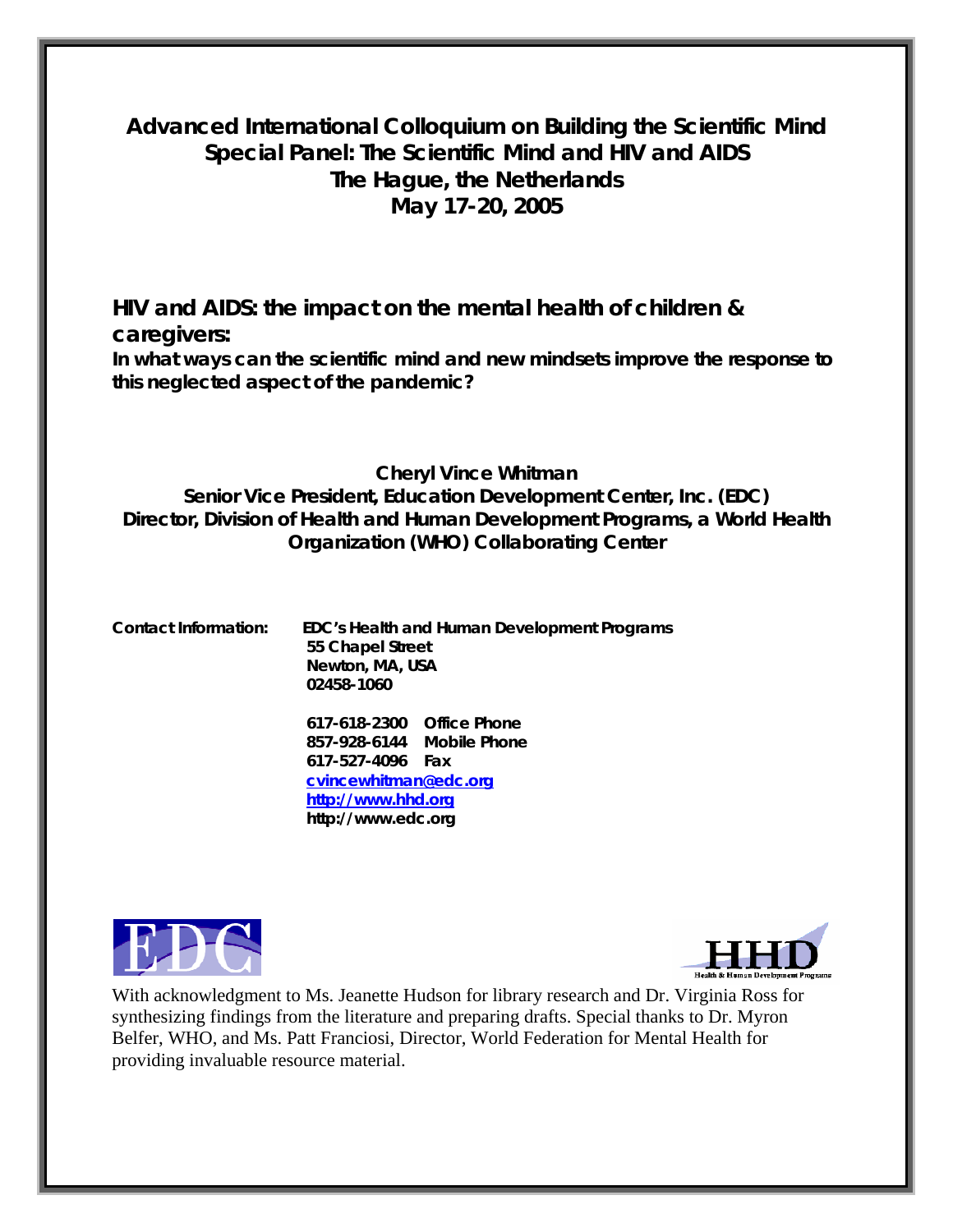# **Advanced International Colloquium on Building the Scientific Mind Special Panel: The Scientific Mind and HIV and AIDS The Hague, the Netherlands May 17-20, 2005**

*HIV and AIDS: the impact on the mental health of children & caregivers: In what ways can the scientific mind and new mindsets improve the response to this neglected aspect of the pandemic?* 

## **Cheryl Vince Whitman Senior Vice President, Education Development Center, Inc. (EDC) Director, Division of Health and Human Development Programs, a World Health Organization (WHO) Collaborating Center**

**Contact Information: EDC's Health and Human Development Programs 55 Chapel Street Newton, MA, USA 02458-1060**

> **617-618-2300 Office Phone 857-928-6144 Mobile Phone 617-527-4096 Fax [cvincewhitman@edc.org](mailto:cvincewhitman@edc.org) [http://www.hhd.org](http://www.hhd.org/) http://www.edc.org**





With acknowledgment to Ms. Jeanette Hudson for library research and Dr. Virginia Ross for synthesizing findings from the literature and preparing drafts. Special thanks to Dr. Myron Belfer, WHO, and Ms. Patt Franciosi, Director, World Federation for Mental Health for providing invaluable resource material.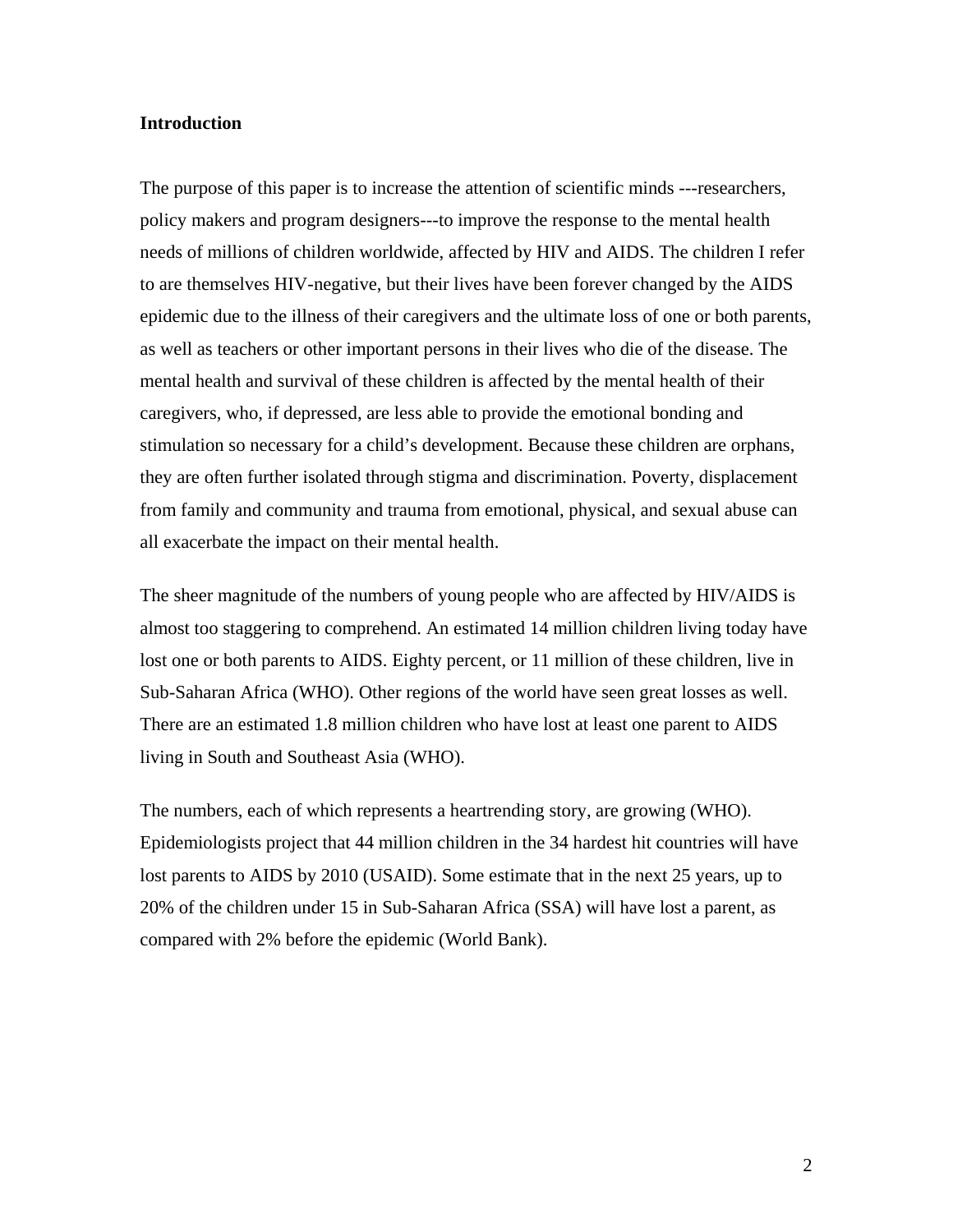#### **Introduction**

The purpose of this paper is to increase the attention of scientific minds ---researchers, policy makers and program designers---to improve the response to the mental health needs of millions of children worldwide, affected by HIV and AIDS. The children I refer to are themselves HIV-negative, but their lives have been forever changed by the AIDS epidemic due to the illness of their caregivers and the ultimate loss of one or both parents, as well as teachers or other important persons in their lives who die of the disease. The mental health and survival of these children is affected by the mental health of their caregivers, who, if depressed, are less able to provide the emotional bonding and stimulation so necessary for a child's development. Because these children are orphans, they are often further isolated through stigma and discrimination. Poverty, displacement from family and community and trauma from emotional, physical, and sexual abuse can all exacerbate the impact on their mental health.

The sheer magnitude of the numbers of young people who are affected by HIV/AIDS is almost too staggering to comprehend. An estimated 14 million children living today have lost one or both parents to AIDS. Eighty percent, or 11 million of these children, live in Sub-Saharan Africa (WHO). Other regions of the world have seen great losses as well. There are an estimated 1.8 million children who have lost at least one parent to AIDS living in South and Southeast Asia (WHO).

The numbers, each of which represents a heartrending story, are growing (WHO). Epidemiologists project that 44 million children in the 34 hardest hit countries will have lost parents to AIDS by 2010 (USAID). Some estimate that in the next 25 years, up to 20% of the children under 15 in Sub-Saharan Africa (SSA) will have lost a parent, as compared with 2% before the epidemic (World Bank).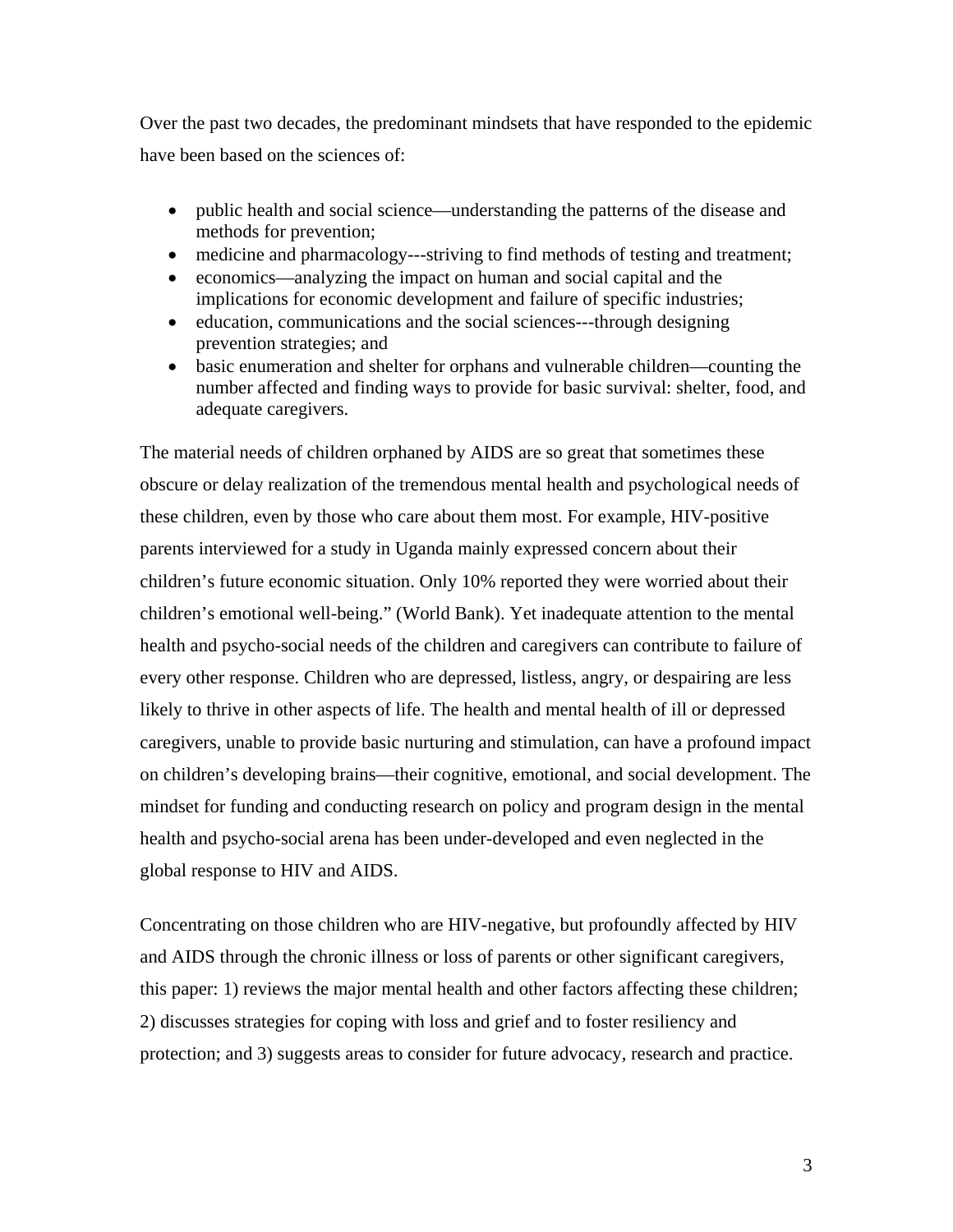Over the past two decades, the predominant mindsets that have responded to the epidemic have been based on the sciences of:

- public health and social science—understanding the patterns of the disease and methods for prevention;
- medicine and pharmacology---striving to find methods of testing and treatment;
- economics—analyzing the impact on human and social capital and the implications for economic development and failure of specific industries;
- education, communications and the social sciences---through designing prevention strategies; and
- basic enumeration and shelter for orphans and vulnerable children—counting the number affected and finding ways to provide for basic survival: shelter, food, and adequate caregivers.

The material needs of children orphaned by AIDS are so great that sometimes these obscure or delay realization of the tremendous mental health and psychological needs of these children, even by those who care about them most. For example, HIV-positive parents interviewed for a study in Uganda mainly expressed concern about their children's future economic situation. Only 10% reported they were worried about their children's emotional well-being." (World Bank). Yet inadequate attention to the mental health and psycho-social needs of the children and caregivers can contribute to failure of every other response. Children who are depressed, listless, angry, or despairing are less likely to thrive in other aspects of life. The health and mental health of ill or depressed caregivers, unable to provide basic nurturing and stimulation, can have a profound impact on children's developing brains—their cognitive, emotional, and social development. The mindset for funding and conducting research on policy and program design in the mental health and psycho-social arena has been under-developed and even neglected in the global response to HIV and AIDS.

Concentrating on those children who are HIV-negative, but profoundly affected by HIV and AIDS through the chronic illness or loss of parents or other significant caregivers, this paper: 1) reviews the major mental health and other factors affecting these children; 2) discusses strategies for coping with loss and grief and to foster resiliency and protection; and 3) suggests areas to consider for future advocacy, research and practice.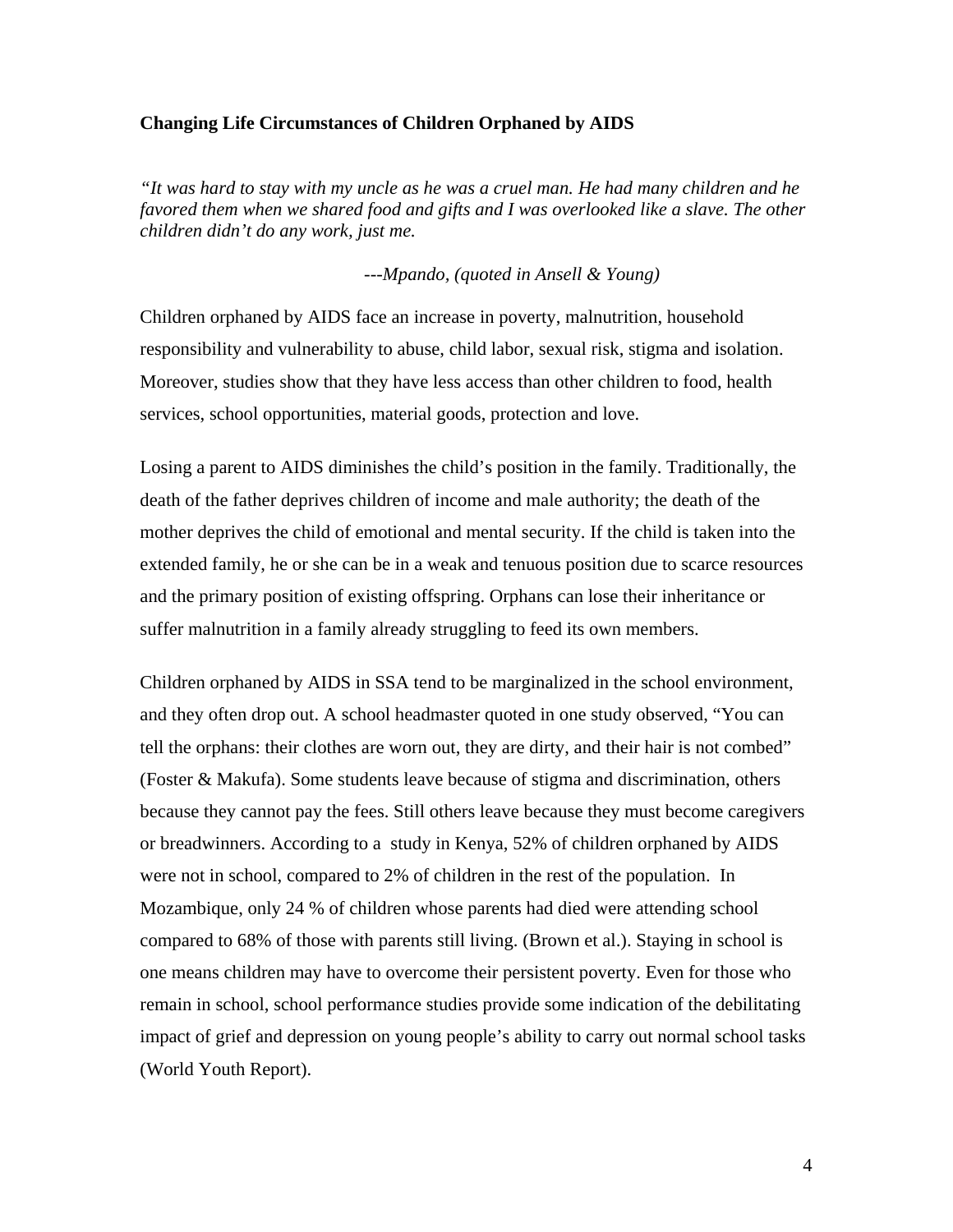#### **Changing Life Circumstances of Children Orphaned by AIDS**

*"It was hard to stay with my uncle as he was a cruel man. He had many children and he favored them when we shared food and gifts and I was overlooked like a slave. The other children didn't do any work, just me.* 

*---Mpando, (quoted in Ansell & Young)*

Children orphaned by AIDS face an increase in poverty, malnutrition, household responsibility and vulnerability to abuse, child labor, sexual risk, stigma and isolation. Moreover, studies show that they have less access than other children to food, health services, school opportunities, material goods, protection and love.

Losing a parent to AIDS diminishes the child's position in the family. Traditionally, the death of the father deprives children of income and male authority; the death of the mother deprives the child of emotional and mental security. If the child is taken into the extended family, he or she can be in a weak and tenuous position due to scarce resources and the primary position of existing offspring. Orphans can lose their inheritance or suffer malnutrition in a family already struggling to feed its own members.

Children orphaned by AIDS in SSA tend to be marginalized in the school environment, and they often drop out. A school headmaster quoted in one study observed, "You can tell the orphans: their clothes are worn out, they are dirty, and their hair is not combed" (Foster & Makufa). Some students leave because of stigma and discrimination, others because they cannot pay the fees. Still others leave because they must become caregivers or breadwinners. According to a study in Kenya, 52% of children orphaned by AIDS were not in school, compared to 2% of children in the rest of the population. In Mozambique, only 24 % of children whose parents had died were attending school compared to 68% of those with parents still living. (Brown et al.). Staying in school is one means children may have to overcome their persistent poverty. Even for those who remain in school, school performance studies provide some indication of the debilitating impact of grief and depression on young people's ability to carry out normal school tasks (World Youth Report).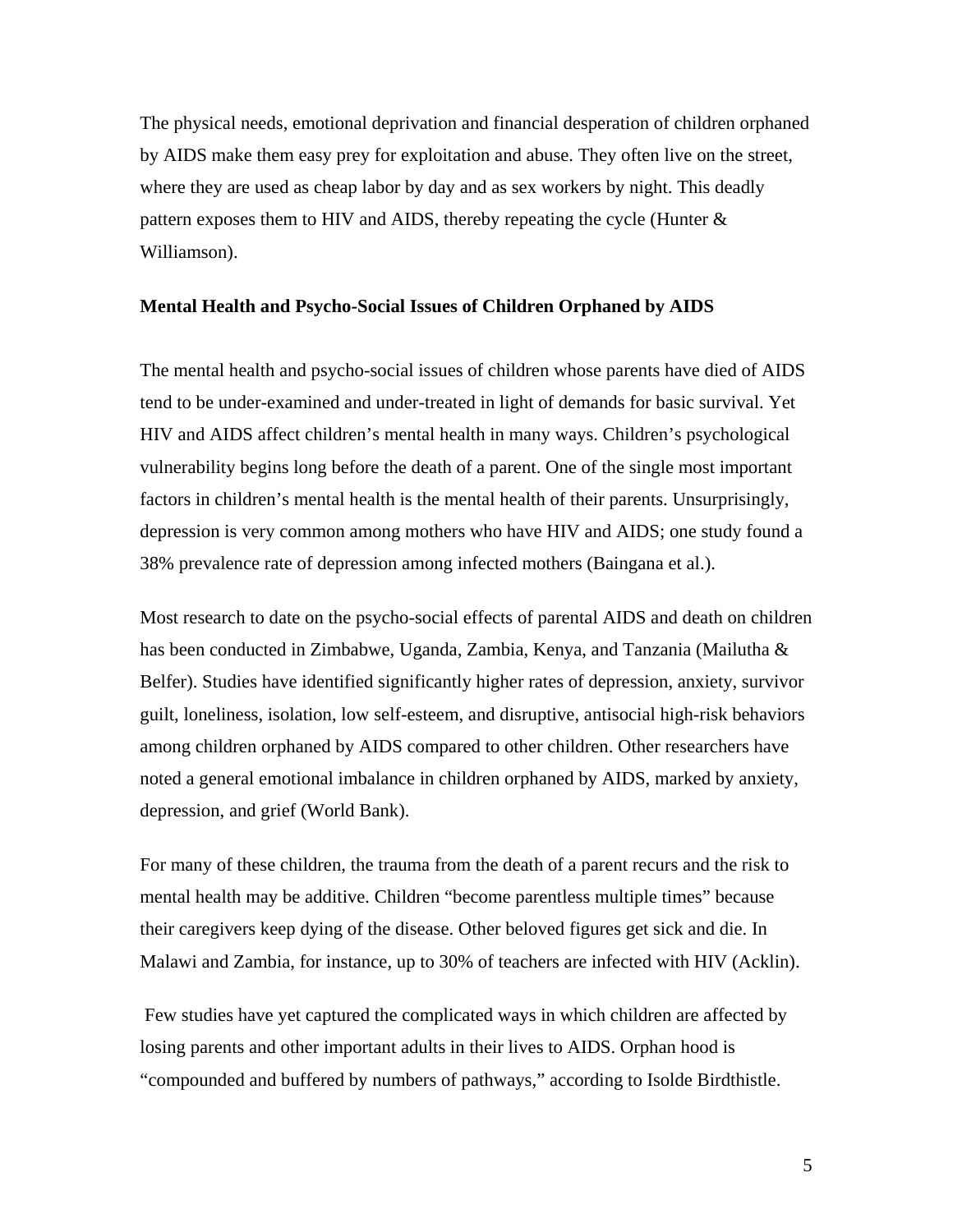The physical needs, emotional deprivation and financial desperation of children orphaned by AIDS make them easy prey for exploitation and abuse. They often live on the street, where they are used as cheap labor by day and as sex workers by night. This deadly pattern exposes them to HIV and AIDS, thereby repeating the cycle (Hunter & Williamson).

#### **Mental Health and Psycho-Social Issues of Children Orphaned by AIDS**

The mental health and psycho-social issues of children whose parents have died of AIDS tend to be under-examined and under-treated in light of demands for basic survival. Yet HIV and AIDS affect children's mental health in many ways. Children's psychological vulnerability begins long before the death of a parent. One of the single most important factors in children's mental health is the mental health of their parents. Unsurprisingly, depression is very common among mothers who have HIV and AIDS; one study found a 38% prevalence rate of depression among infected mothers (Baingana et al.).

Most research to date on the psycho-social effects of parental AIDS and death on children has been conducted in Zimbabwe, Uganda, Zambia, Kenya, and Tanzania (Mailutha & Belfer). Studies have identified significantly higher rates of depression, anxiety, survivor guilt, loneliness, isolation, low self-esteem, and disruptive, antisocial high-risk behaviors among children orphaned by AIDS compared to other children. Other researchers have noted a general emotional imbalance in children orphaned by AIDS, marked by anxiety, depression, and grief (World Bank).

For many of these children, the trauma from the death of a parent recurs and the risk to mental health may be additive. Children "become parentless multiple times" because their caregivers keep dying of the disease. Other beloved figures get sick and die. In Malawi and Zambia, for instance, up to 30% of teachers are infected with HIV (Acklin).

 Few studies have yet captured the complicated ways in which children are affected by losing parents and other important adults in their lives to AIDS. Orphan hood is "compounded and buffered by numbers of pathways," according to Isolde Birdthistle.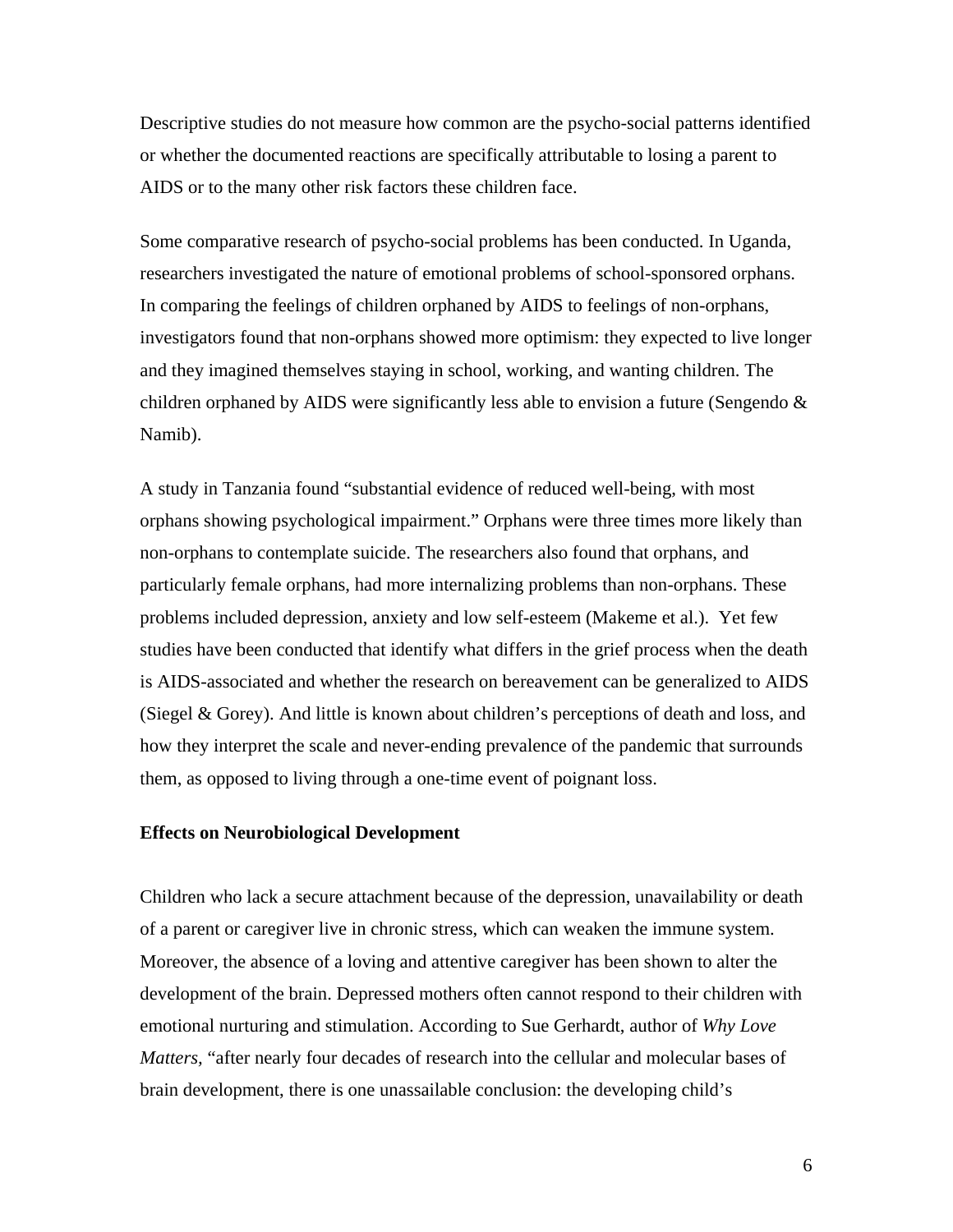Descriptive studies do not measure how common are the psycho-social patterns identified or whether the documented reactions are specifically attributable to losing a parent to AIDS or to the many other risk factors these children face.

Some comparative research of psycho-social problems has been conducted. In Uganda, researchers investigated the nature of emotional problems of school-sponsored orphans. In comparing the feelings of children orphaned by AIDS to feelings of non-orphans, investigators found that non-orphans showed more optimism: they expected to live longer and they imagined themselves staying in school, working, and wanting children. The children orphaned by AIDS were significantly less able to envision a future (Sengendo  $\&$ Namib).

A study in Tanzania found "substantial evidence of reduced well-being, with most orphans showing psychological impairment." Orphans were three times more likely than non-orphans to contemplate suicide. The researchers also found that orphans, and particularly female orphans, had more internalizing problems than non-orphans. These problems included depression, anxiety and low self-esteem (Makeme et al.). Yet few studies have been conducted that identify what differs in the grief process when the death is AIDS-associated and whether the research on bereavement can be generalized to AIDS (Siegel & Gorey). And little is known about children's perceptions of death and loss, and how they interpret the scale and never-ending prevalence of the pandemic that surrounds them, as opposed to living through a one-time event of poignant loss.

#### **Effects on Neurobiological Development**

Children who lack a secure attachment because of the depression, unavailability or death of a parent or caregiver live in chronic stress, which can weaken the immune system. Moreover, the absence of a loving and attentive caregiver has been shown to alter the development of the brain. Depressed mothers often cannot respond to their children with emotional nurturing and stimulation. According to Sue Gerhardt, author of *Why Love Matters,* "after nearly four decades of research into the cellular and molecular bases of brain development, there is one unassailable conclusion: the developing child's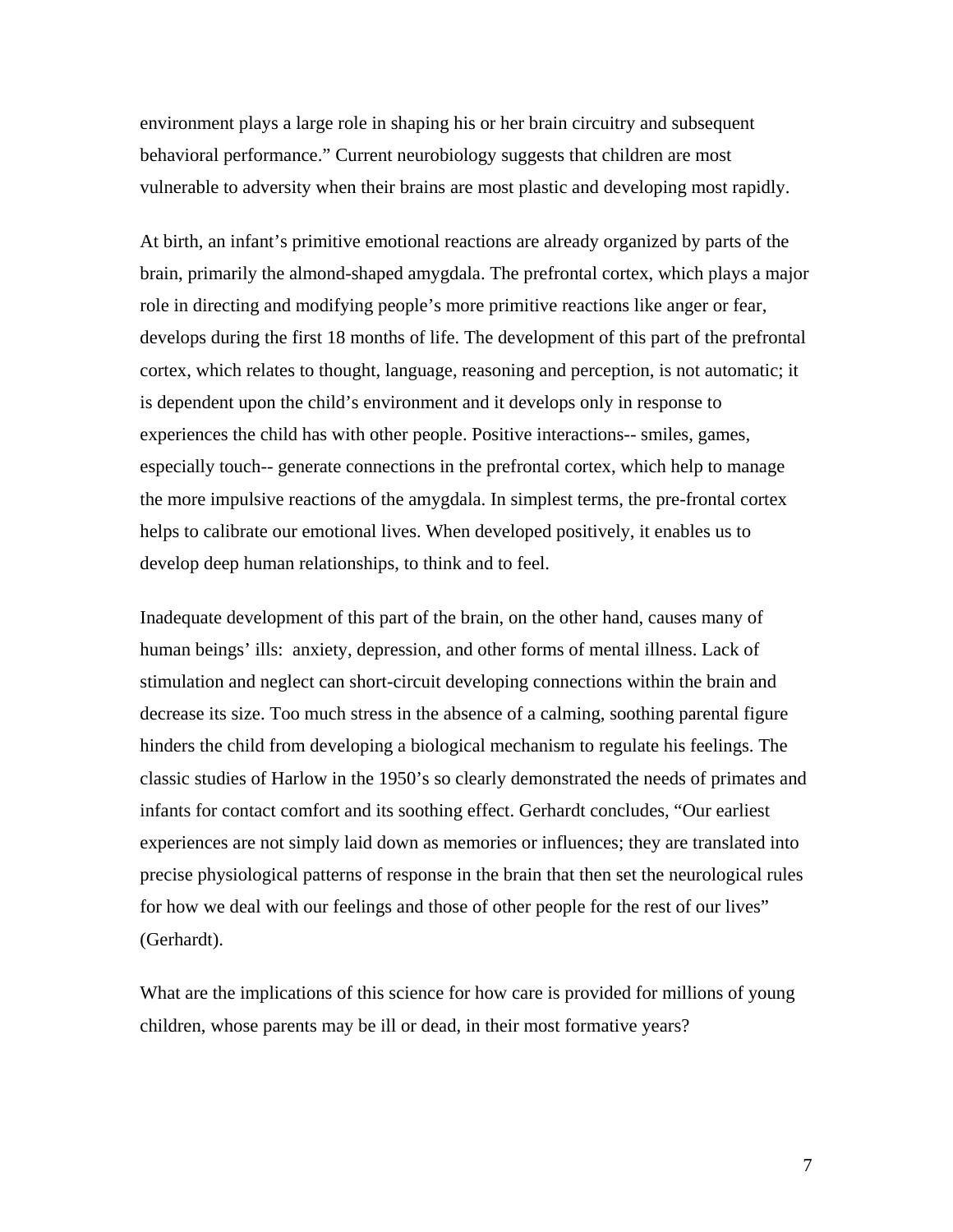environment plays a large role in shaping his or her brain circuitry and subsequent behavioral performance." Current neurobiology suggests that children are most vulnerable to adversity when their brains are most plastic and developing most rapidly.

At birth, an infant's primitive emotional reactions are already organized by parts of the brain, primarily the almond-shaped amygdala. The prefrontal cortex, which plays a major role in directing and modifying people's more primitive reactions like anger or fear, develops during the first 18 months of life. The development of this part of the prefrontal cortex, which relates to thought, language, reasoning and perception, is not automatic; it is dependent upon the child's environment and it develops only in response to experiences the child has with other people. Positive interactions-- smiles, games, especially touch-- generate connections in the prefrontal cortex, which help to manage the more impulsive reactions of the amygdala. In simplest terms, the pre-frontal cortex helps to calibrate our emotional lives. When developed positively, it enables us to develop deep human relationships, to think and to feel.

Inadequate development of this part of the brain, on the other hand, causes many of human beings' ills: anxiety, depression, and other forms of mental illness. Lack of stimulation and neglect can short-circuit developing connections within the brain and decrease its size. Too much stress in the absence of a calming, soothing parental figure hinders the child from developing a biological mechanism to regulate his feelings. The classic studies of Harlow in the 1950's so clearly demonstrated the needs of primates and infants for contact comfort and its soothing effect. Gerhardt concludes, "Our earliest experiences are not simply laid down as memories or influences; they are translated into precise physiological patterns of response in the brain that then set the neurological rules for how we deal with our feelings and those of other people for the rest of our lives" (Gerhardt).

What are the implications of this science for how care is provided for millions of young children, whose parents may be ill or dead, in their most formative years?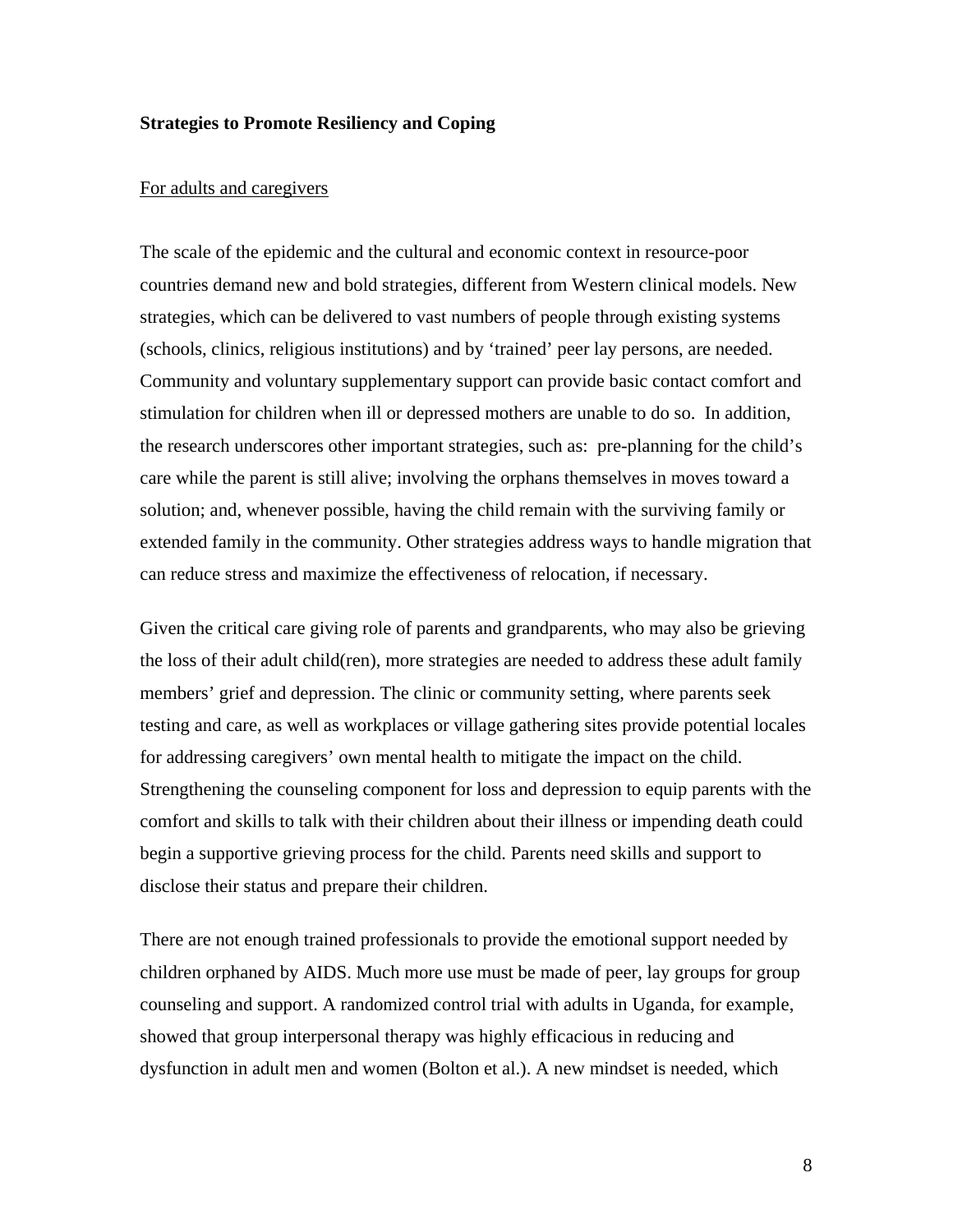#### **Strategies to Promote Resiliency and Coping**

#### For adults and caregivers

The scale of the epidemic and the cultural and economic context in resource-poor countries demand new and bold strategies, different from Western clinical models. New strategies, which can be delivered to vast numbers of people through existing systems (schools, clinics, religious institutions) and by 'trained' peer lay persons, are needed. Community and voluntary supplementary support can provide basic contact comfort and stimulation for children when ill or depressed mothers are unable to do so. In addition, the research underscores other important strategies, such as: pre-planning for the child's care while the parent is still alive; involving the orphans themselves in moves toward a solution; and, whenever possible, having the child remain with the surviving family or extended family in the community. Other strategies address ways to handle migration that can reduce stress and maximize the effectiveness of relocation, if necessary.

Given the critical care giving role of parents and grandparents, who may also be grieving the loss of their adult child(ren), more strategies are needed to address these adult family members' grief and depression. The clinic or community setting, where parents seek testing and care, as well as workplaces or village gathering sites provide potential locales for addressing caregivers' own mental health to mitigate the impact on the child. Strengthening the counseling component for loss and depression to equip parents with the comfort and skills to talk with their children about their illness or impending death could begin a supportive grieving process for the child. Parents need skills and support to disclose their status and prepare their children.

There are not enough trained professionals to provide the emotional support needed by children orphaned by AIDS. Much more use must be made of peer, lay groups for group counseling and support. A randomized control trial with adults in Uganda, for example, showed that group interpersonal therapy was highly efficacious in reducing and dysfunction in adult men and women (Bolton et al.). A new mindset is needed, which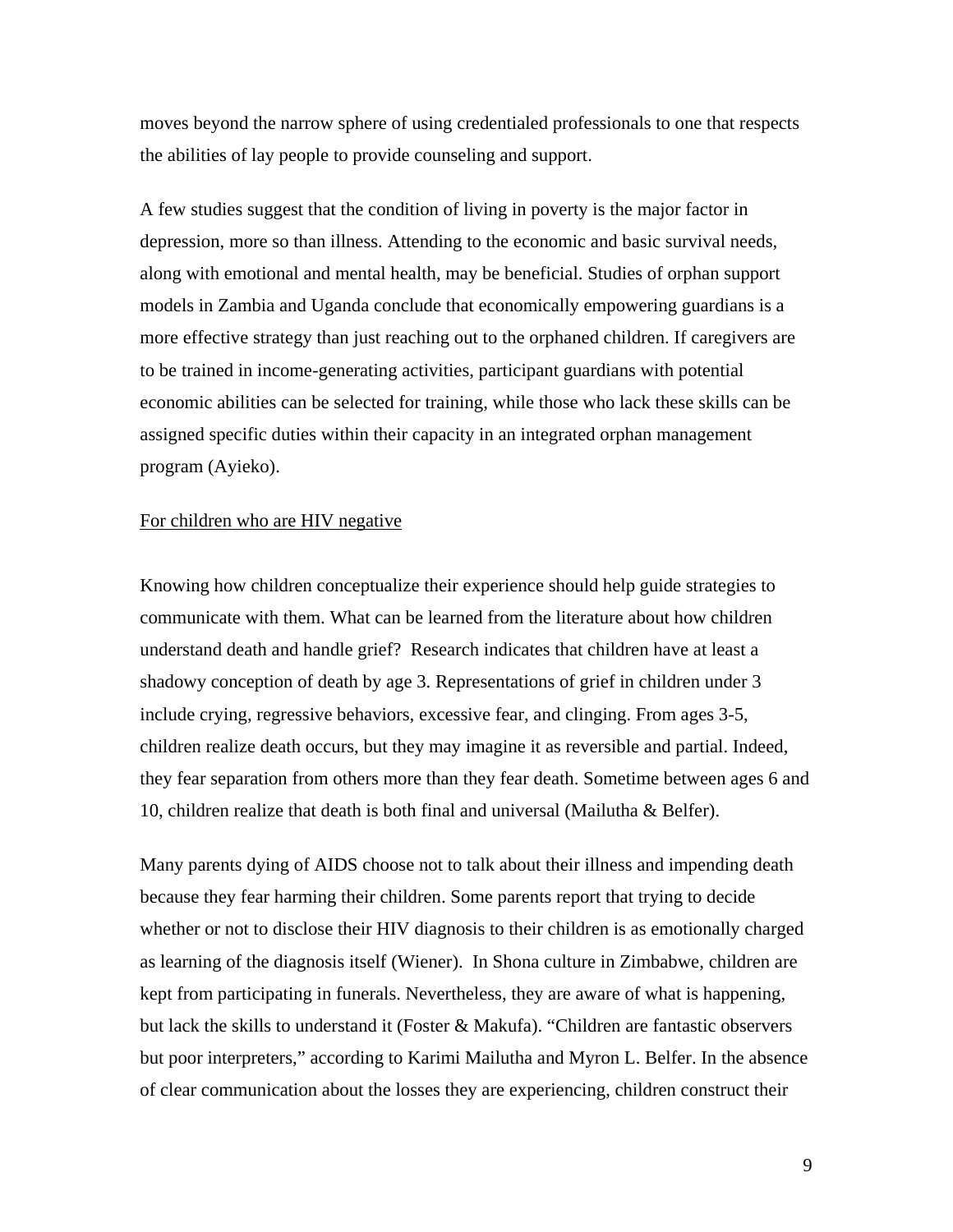moves beyond the narrow sphere of using credentialed professionals to one that respects the abilities of lay people to provide counseling and support.

A few studies suggest that the condition of living in poverty is the major factor in depression, more so than illness. Attending to the economic and basic survival needs, along with emotional and mental health, may be beneficial. Studies of orphan support models in Zambia and Uganda conclude that economically empowering guardians is a more effective strategy than just reaching out to the orphaned children. If caregivers are to be trained in income-generating activities, participant guardians with potential economic abilities can be selected for training, while those who lack these skills can be assigned specific duties within their capacity in an integrated orphan management program (Ayieko).

#### For children who are HIV negative

Knowing how children conceptualize their experience should help guide strategies to communicate with them. What can be learned from the literature about how children understand death and handle grief? Research indicates that children have at least a shadowy conception of death by age 3. Representations of grief in children under 3 include crying, regressive behaviors, excessive fear, and clinging. From ages 3-5, children realize death occurs, but they may imagine it as reversible and partial. Indeed, they fear separation from others more than they fear death. Sometime between ages 6 and 10, children realize that death is both final and universal (Mailutha & Belfer).

Many parents dying of AIDS choose not to talk about their illness and impending death because they fear harming their children. Some parents report that trying to decide whether or not to disclose their HIV diagnosis to their children is as emotionally charged as learning of the diagnosis itself (Wiener). In Shona culture in Zimbabwe, children are kept from participating in funerals. Nevertheless, they are aware of what is happening, but lack the skills to understand it (Foster & Makufa). "Children are fantastic observers but poor interpreters," according to Karimi Mailutha and Myron L. Belfer. In the absence of clear communication about the losses they are experiencing, children construct their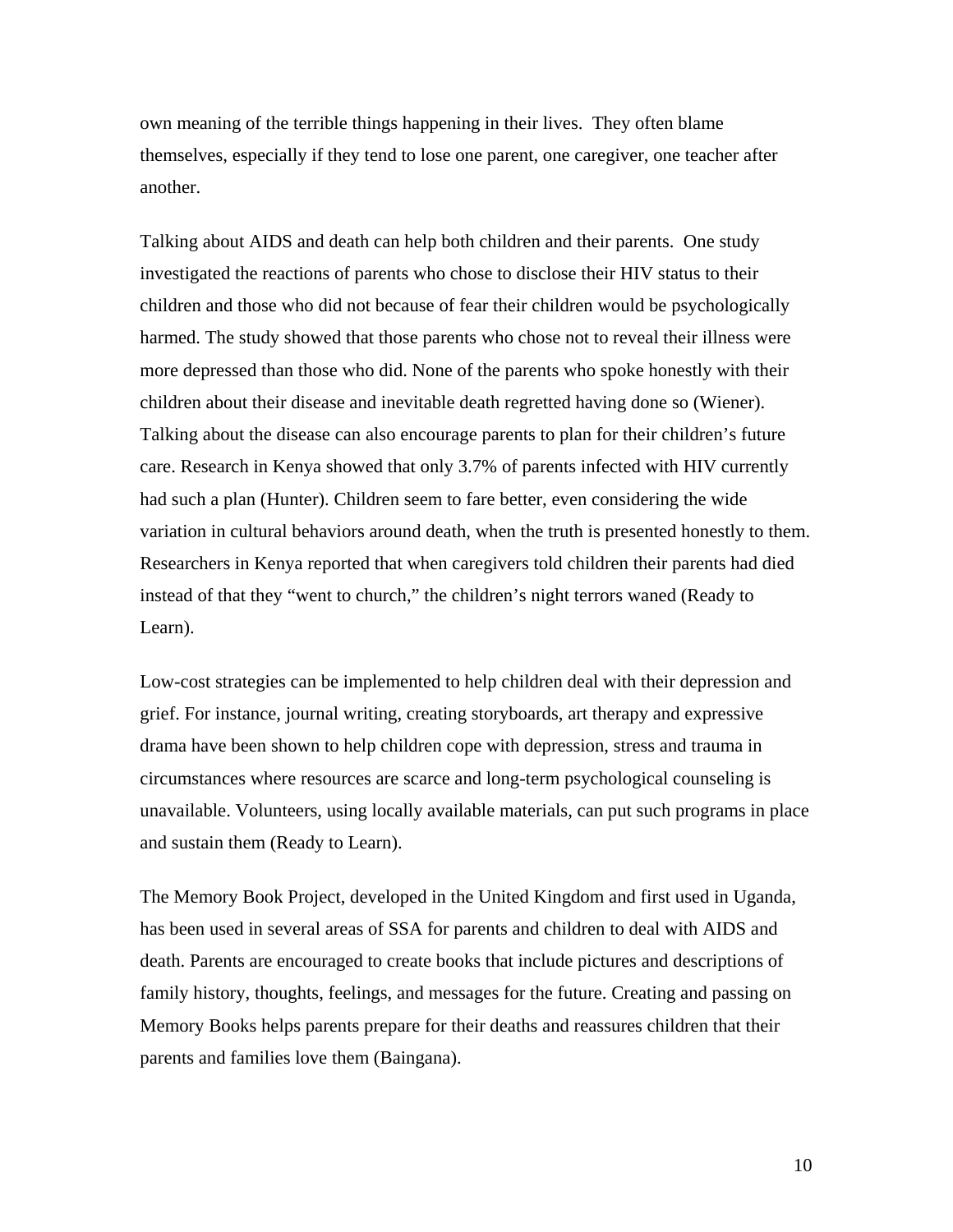own meaning of the terrible things happening in their lives. They often blame themselves, especially if they tend to lose one parent, one caregiver, one teacher after another.

Talking about AIDS and death can help both children and their parents. One study investigated the reactions of parents who chose to disclose their HIV status to their children and those who did not because of fear their children would be psychologically harmed. The study showed that those parents who chose not to reveal their illness were more depressed than those who did. None of the parents who spoke honestly with their children about their disease and inevitable death regretted having done so (Wiener). Talking about the disease can also encourage parents to plan for their children's future care. Research in Kenya showed that only 3.7% of parents infected with HIV currently had such a plan (Hunter). Children seem to fare better, even considering the wide variation in cultural behaviors around death, when the truth is presented honestly to them. Researchers in Kenya reported that when caregivers told children their parents had died instead of that they "went to church," the children's night terrors waned (Ready to Learn).

Low-cost strategies can be implemented to help children deal with their depression and grief. For instance, journal writing, creating storyboards, art therapy and expressive drama have been shown to help children cope with depression, stress and trauma in circumstances where resources are scarce and long-term psychological counseling is unavailable. Volunteers, using locally available materials, can put such programs in place and sustain them (Ready to Learn).

The Memory Book Project, developed in the United Kingdom and first used in Uganda, has been used in several areas of SSA for parents and children to deal with AIDS and death. Parents are encouraged to create books that include pictures and descriptions of family history, thoughts, feelings, and messages for the future. Creating and passing on Memory Books helps parents prepare for their deaths and reassures children that their parents and families love them (Baingana).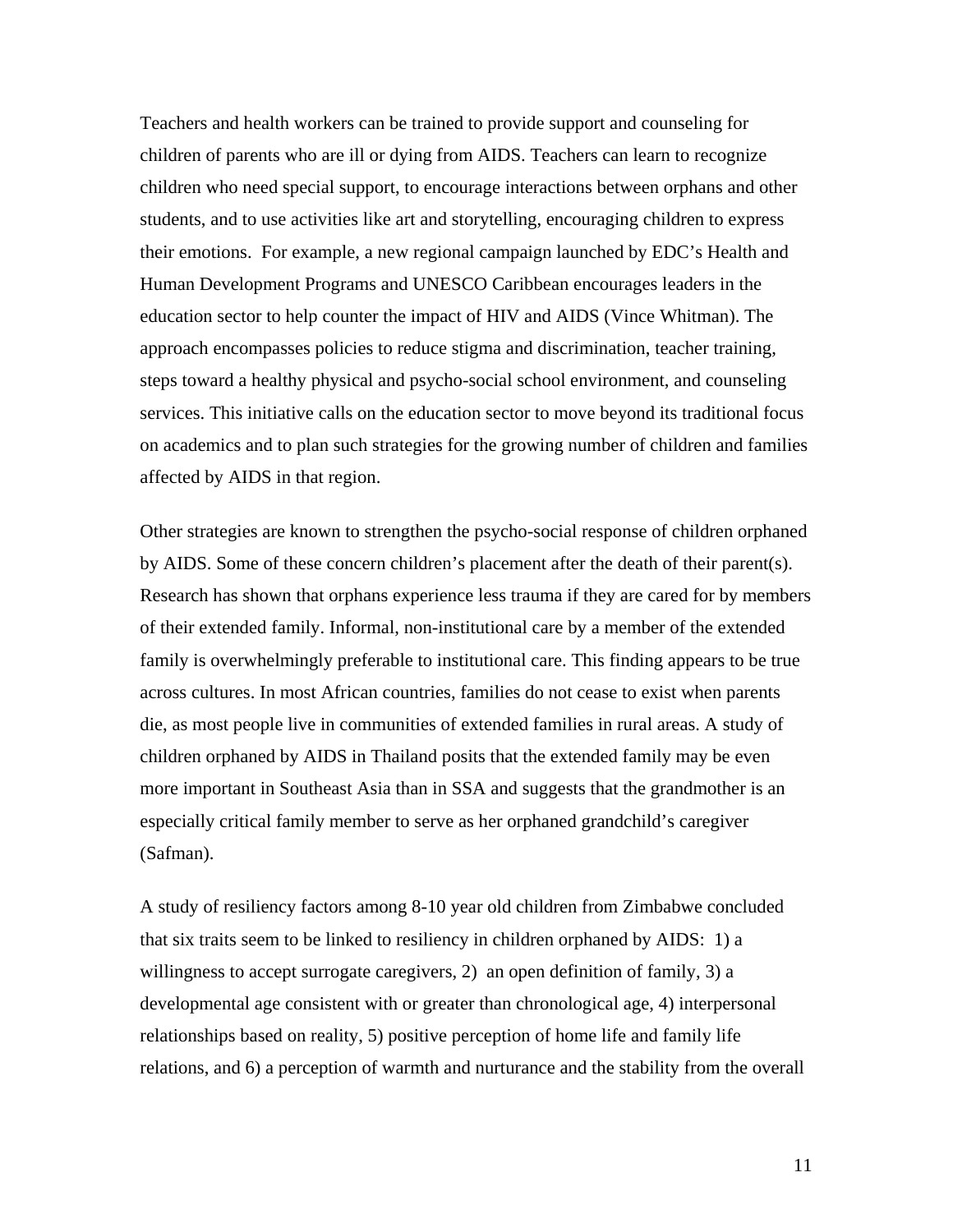Teachers and health workers can be trained to provide support and counseling for children of parents who are ill or dying from AIDS. Teachers can learn to recognize children who need special support, to encourage interactions between orphans and other students, and to use activities like art and storytelling, encouraging children to express their emotions. For example, a new regional campaign launched by EDC's Health and Human Development Programs and UNESCO Caribbean encourages leaders in the education sector to help counter the impact of HIV and AIDS (Vince Whitman). The approach encompasses policies to reduce stigma and discrimination, teacher training, steps toward a healthy physical and psycho-social school environment, and counseling services. This initiative calls on the education sector to move beyond its traditional focus on academics and to plan such strategies for the growing number of children and families affected by AIDS in that region.

Other strategies are known to strengthen the psycho-social response of children orphaned by AIDS. Some of these concern children's placement after the death of their parent(s). Research has shown that orphans experience less trauma if they are cared for by members of their extended family. Informal, non-institutional care by a member of the extended family is overwhelmingly preferable to institutional care. This finding appears to be true across cultures. In most African countries, families do not cease to exist when parents die, as most people live in communities of extended families in rural areas. A study of children orphaned by AIDS in Thailand posits that the extended family may be even more important in Southeast Asia than in SSA and suggests that the grandmother is an especially critical family member to serve as her orphaned grandchild's caregiver (Safman).

A study of resiliency factors among 8-10 year old children from Zimbabwe concluded that six traits seem to be linked to resiliency in children orphaned by AIDS: 1) a willingness to accept surrogate caregivers, 2) an open definition of family, 3) a developmental age consistent with or greater than chronological age, 4) interpersonal relationships based on reality, 5) positive perception of home life and family life relations, and 6) a perception of warmth and nurturance and the stability from the overall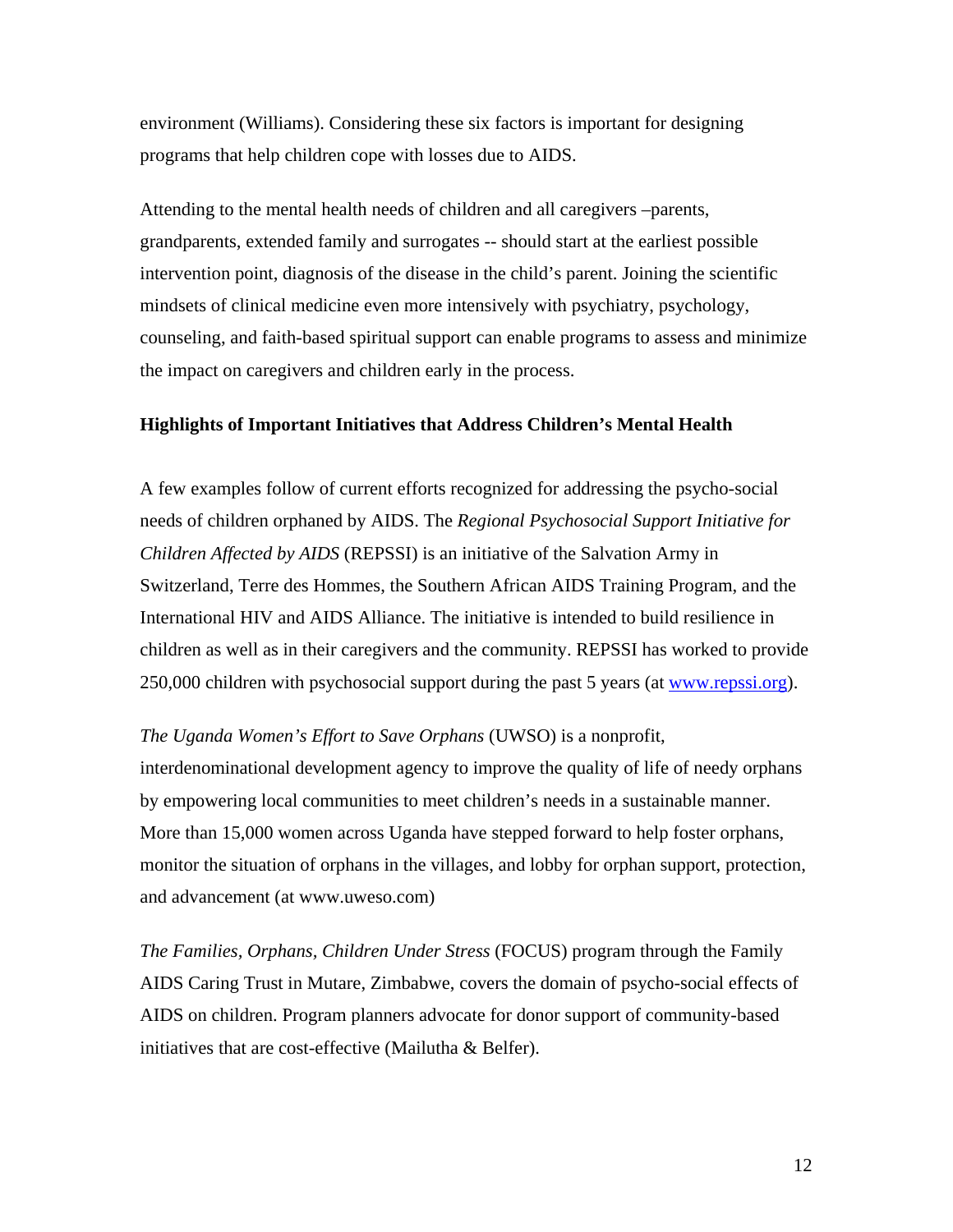environment (Williams). Considering these six factors is important for designing programs that help children cope with losses due to AIDS.

Attending to the mental health needs of children and all caregivers –parents, grandparents, extended family and surrogates -- should start at the earliest possible intervention point, diagnosis of the disease in the child's parent. Joining the scientific mindsets of clinical medicine even more intensively with psychiatry, psychology, counseling, and faith-based spiritual support can enable programs to assess and minimize the impact on caregivers and children early in the process.

#### **Highlights of Important Initiatives that Address Children's Mental Health**

A few examples follow of current efforts recognized for addressing the psycho-social needs of children orphaned by AIDS. The *Regional Psychosocial Support Initiative for Children Affected by AIDS* (REPSSI) is an initiative of the Salvation Army in Switzerland, Terre des Hommes, the Southern African AIDS Training Program, and the International HIV and AIDS Alliance. The initiative is intended to build resilience in children as well as in their caregivers and the community. REPSSI has worked to provide 250,000 children with psychosocial support during the past 5 years (at [www.repssi.org\)](http://www.repssi.org/).

*The Uganda Women's Effort to Save Orphans* (UWSO) is a nonprofit,

interdenominational development agency to improve the quality of life of needy orphans by empowering local communities to meet children's needs in a sustainable manner. More than 15,000 women across Uganda have stepped forward to help foster orphans, monitor the situation of orphans in the villages, and lobby for orphan support, protection, and advancement (at www.uweso.com)

*The Families, Orphans, Children Under Stress* (FOCUS) program through the Family AIDS Caring Trust in Mutare, Zimbabwe, covers the domain of psycho-social effects of AIDS on children. Program planners advocate for donor support of community-based initiatives that are cost-effective (Mailutha & Belfer).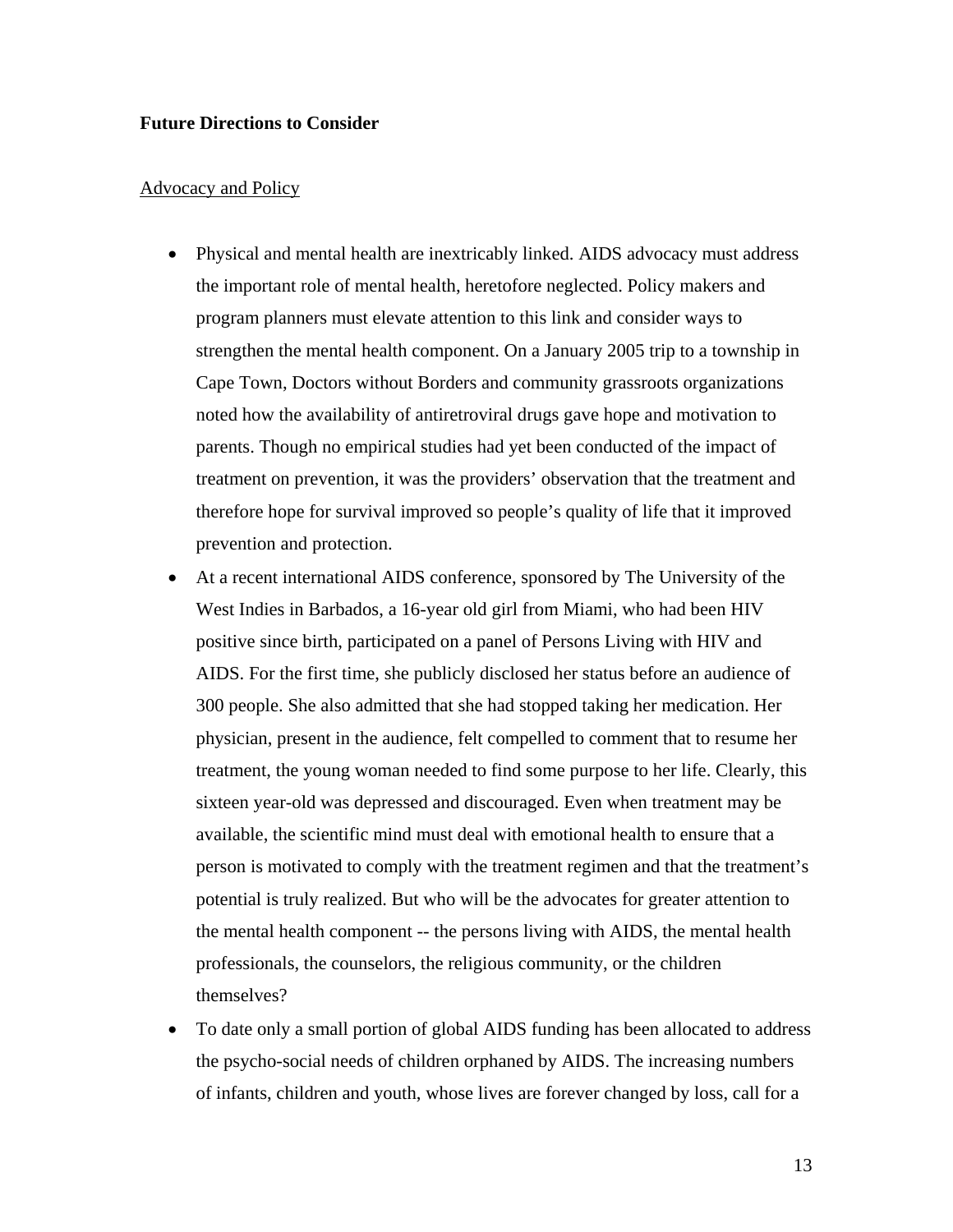#### **Future Directions to Consider**

#### Advocacy and Policy

- Physical and mental health are inextricably linked. AIDS advocacy must address the important role of mental health, heretofore neglected. Policy makers and program planners must elevate attention to this link and consider ways to strengthen the mental health component. On a January 2005 trip to a township in Cape Town, Doctors without Borders and community grassroots organizations noted how the availability of antiretroviral drugs gave hope and motivation to parents. Though no empirical studies had yet been conducted of the impact of treatment on prevention, it was the providers' observation that the treatment and therefore hope for survival improved so people's quality of life that it improved prevention and protection.
- At a recent international AIDS conference, sponsored by The University of the West Indies in Barbados, a 16-year old girl from Miami, who had been HIV positive since birth, participated on a panel of Persons Living with HIV and AIDS. For the first time, she publicly disclosed her status before an audience of 300 people. She also admitted that she had stopped taking her medication. Her physician, present in the audience, felt compelled to comment that to resume her treatment, the young woman needed to find some purpose to her life. Clearly, this sixteen year-old was depressed and discouraged. Even when treatment may be available, the scientific mind must deal with emotional health to ensure that a person is motivated to comply with the treatment regimen and that the treatment's potential is truly realized. But who will be the advocates for greater attention to the mental health component -- the persons living with AIDS, the mental health professionals, the counselors, the religious community, or the children themselves?
- To date only a small portion of global AIDS funding has been allocated to address the psycho-social needs of children orphaned by AIDS. The increasing numbers of infants, children and youth, whose lives are forever changed by loss, call for a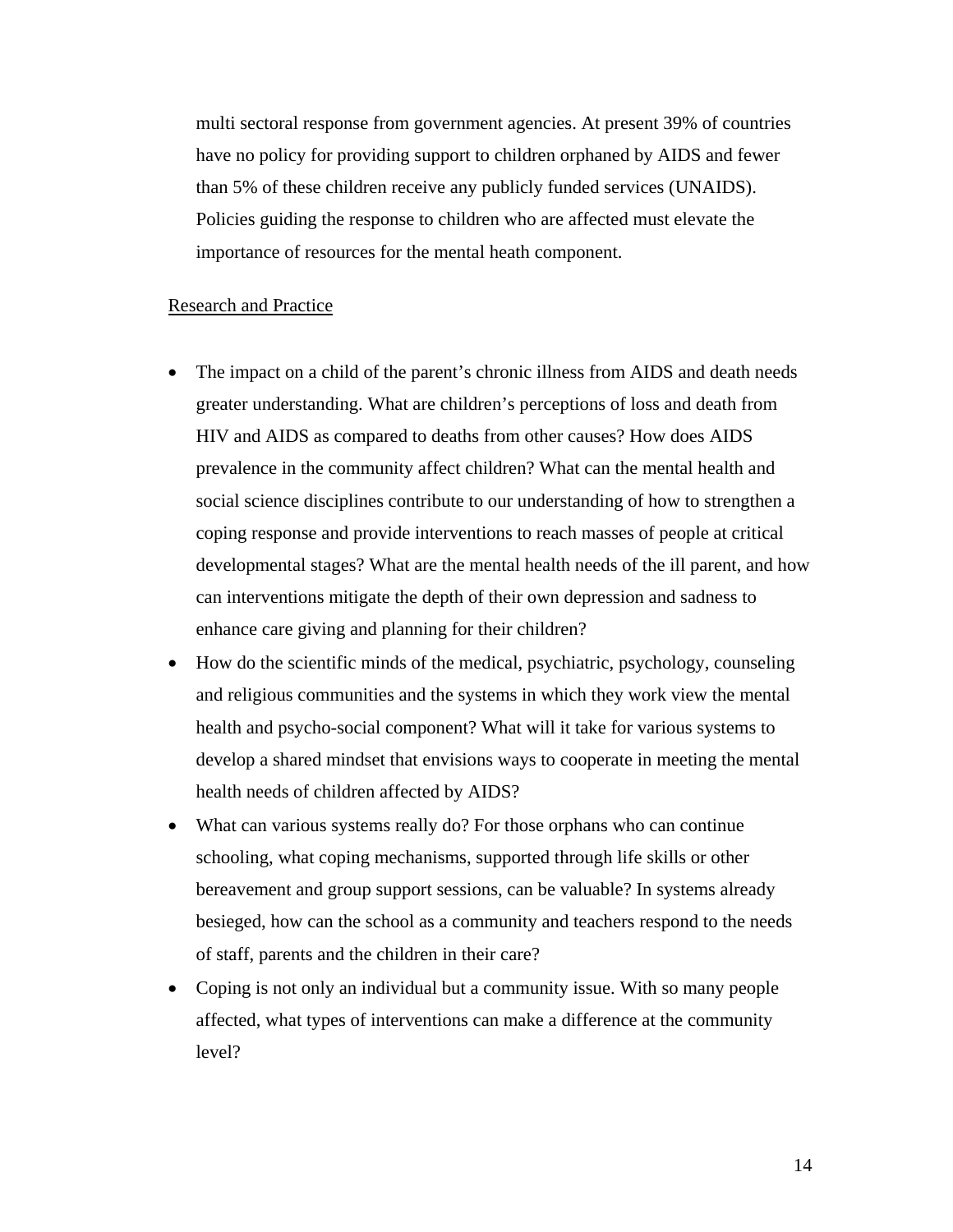multi sectoral response from government agencies. At present 39% of countries have no policy for providing support to children orphaned by AIDS and fewer than 5% of these children receive any publicly funded services (UNAIDS). Policies guiding the response to children who are affected must elevate the importance of resources for the mental heath component.

#### Research and Practice

- The impact on a child of the parent's chronic illness from AIDS and death needs greater understanding. What are children's perceptions of loss and death from HIV and AIDS as compared to deaths from other causes? How does AIDS prevalence in the community affect children? What can the mental health and social science disciplines contribute to our understanding of how to strengthen a coping response and provide interventions to reach masses of people at critical developmental stages? What are the mental health needs of the ill parent, and how can interventions mitigate the depth of their own depression and sadness to enhance care giving and planning for their children?
- How do the scientific minds of the medical, psychiatric, psychology, counseling and religious communities and the systems in which they work view the mental health and psycho-social component? What will it take for various systems to develop a shared mindset that envisions ways to cooperate in meeting the mental health needs of children affected by AIDS?
- What can various systems really do? For those orphans who can continue schooling, what coping mechanisms, supported through life skills or other bereavement and group support sessions, can be valuable? In systems already besieged, how can the school as a community and teachers respond to the needs of staff, parents and the children in their care?
- Coping is not only an individual but a community issue. With so many people affected, what types of interventions can make a difference at the community level?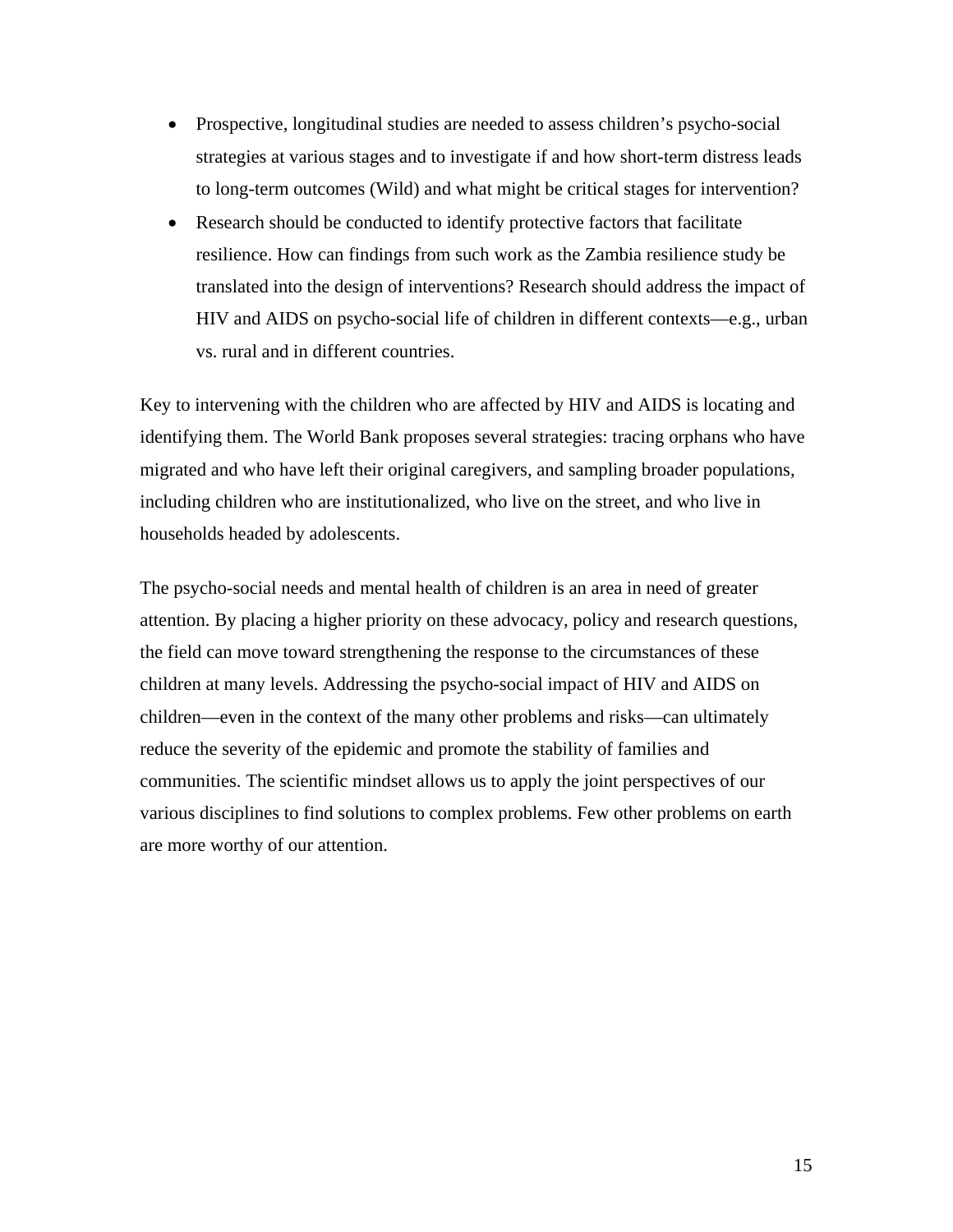- Prospective, longitudinal studies are needed to assess children's psycho-social strategies at various stages and to investigate if and how short-term distress leads to long-term outcomes (Wild) and what might be critical stages for intervention?
- Research should be conducted to identify protective factors that facilitate resilience. How can findings from such work as the Zambia resilience study be translated into the design of interventions? Research should address the impact of HIV and AIDS on psycho-social life of children in different contexts—e.g., urban vs. rural and in different countries.

Key to intervening with the children who are affected by HIV and AIDS is locating and identifying them. The World Bank proposes several strategies: tracing orphans who have migrated and who have left their original caregivers, and sampling broader populations, including children who are institutionalized, who live on the street, and who live in households headed by adolescents.

The psycho-social needs and mental health of children is an area in need of greater attention. By placing a higher priority on these advocacy, policy and research questions, the field can move toward strengthening the response to the circumstances of these children at many levels. Addressing the psycho-social impact of HIV and AIDS on children—even in the context of the many other problems and risks—can ultimately reduce the severity of the epidemic and promote the stability of families and communities. The scientific mindset allows us to apply the joint perspectives of our various disciplines to find solutions to complex problems. Few other problems on earth are more worthy of our attention.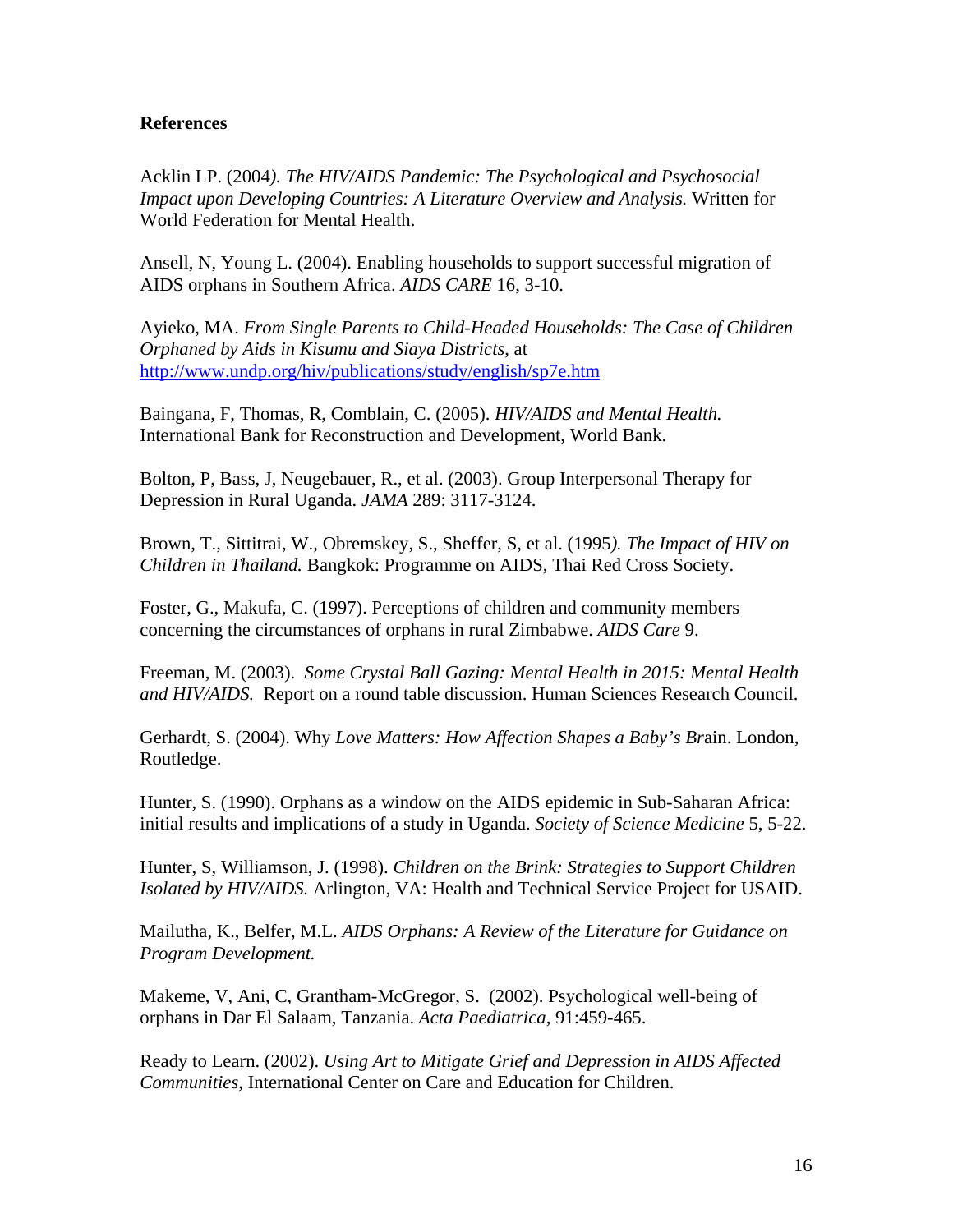### **References**

Acklin LP. (2004*). The HIV/AIDS Pandemic: The Psychological and Psychosocial Impact upon Developing Countries: A Literature Overview and Analysis.* Written for World Federation for Mental Health.

Ansell, N, Young L. (2004). Enabling households to support successful migration of AIDS orphans in Southern Africa. *AIDS CARE* 16, 3-10.

Ayieko, MA. *From Single Parents to Child-Headed Households: The Case of Children Orphaned by Aids in Kisumu and Siaya Districts*, at <http://www.undp.org/hiv/publications/study/english/sp7e.htm>

Baingana, F, Thomas, R, Comblain, C. (2005). *HIV/AIDS and Mental Health.*  International Bank for Reconstruction and Development, World Bank.

Bolton, P, Bass, J, Neugebauer, R., et al. (2003). Group Interpersonal Therapy for Depression in Rural Uganda. *JAMA* 289: 3117-3124.

Brown, T., Sittitrai, W., Obremskey, S., Sheffer, S, et al. (1995*). The Impact of HIV on Children in Thailand.* Bangkok: Programme on AIDS, Thai Red Cross Society.

Foster, G., Makufa, C. (1997). Perceptions of children and community members concerning the circumstances of orphans in rural Zimbabwe. *AIDS Care* 9.

Freeman, M. (2003). *Some Crystal Ball Gazing: Mental Health in 2015: Mental Health and HIV/AIDS.* Report on a round table discussion. Human Sciences Research Council.

Gerhardt, S. (2004). Why *Love Matters: How Affection Shapes a Baby's Br*ain. London, Routledge.

Hunter, S. (1990). Orphans as a window on the AIDS epidemic in Sub-Saharan Africa: initial results and implications of a study in Uganda. *Society of Science Medicine* 5, 5-22.

Hunter, S, Williamson, J. (1998). *Children on the Brink: Strategies to Support Children Isolated by HIV/AIDS.* Arlington, VA: Health and Technical Service Project for USAID.

Mailutha, K., Belfer, M.L. *AIDS Orphans: A Review of the Literature for Guidance on Program Development.* 

Makeme, V, Ani, C, Grantham-McGregor, S. (2002). Psychological well-being of orphans in Dar El Salaam, Tanzania. *Acta Paediatrica,* 91:459-465.

Ready to Learn. (2002). *Using Art to Mitigate Grief and Depression in AIDS Affected Communities*, International Center on Care and Education for Children.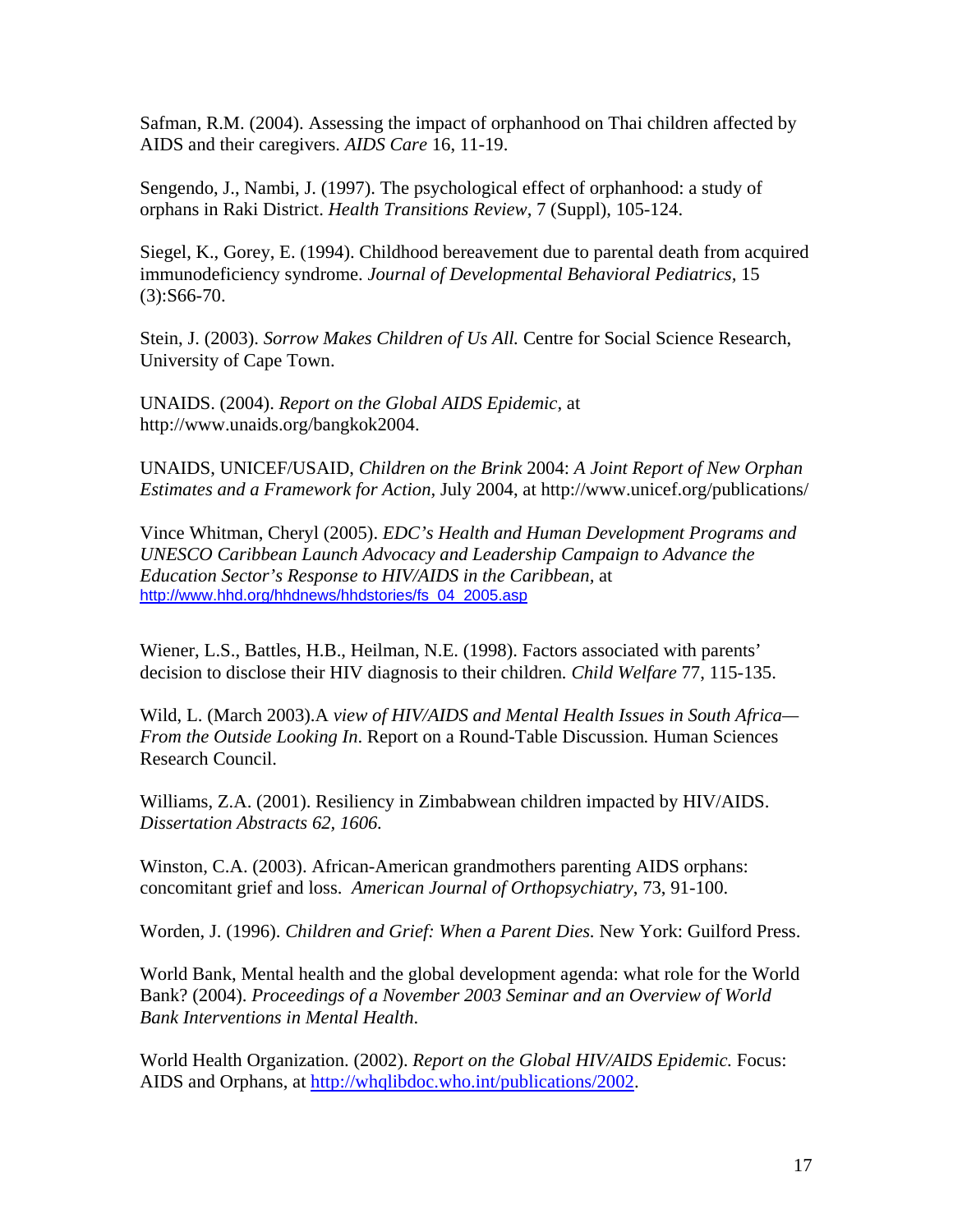Safman, R.M. (2004). Assessing the impact of orphanhood on Thai children affected by AIDS and their caregivers. *AIDS Care* 16, 11-19.

Sengendo, J., Nambi, J. (1997). The psychological effect of orphanhood: a study of orphans in Raki District. *Health Transitions Review*, 7 (Suppl), 105-124.

Siegel, K., Gorey, E. (1994). Childhood bereavement due to parental death from acquired immunodeficiency syndrome. *Journal of Developmental Behavioral Pediatrics,* 15  $(3):S66-70.$ 

Stein, J. (2003). *Sorrow Makes Children of Us All.* Centre for Social Science Research, University of Cape Town.

UNAIDS. (2004). *Report on the Global AIDS Epidemic,* at http://www.unaids.org/bangkok2004.

UNAIDS, UNICEF/USAID, *Children on the Brink* 2004: *A Joint Report of New Orphan Estimates and a Framework for Action,* July 2004, at http://www.unicef.org/publications/

Vince Whitman, Cheryl (2005). *EDC's Health and Human Development Programs and UNESCO Caribbean Launch Advocacy and Leadership Campaign to Advance the Education Sector's Response to HIV/AIDS in the Caribbean,* at [http://www.hhd.org/hhdnews/hhdstories/fs\\_04\\_2005.asp](http://www.hhd.org/hhdnews/hhdstories/fs_04_2005.asp)

Wiener, L.S., Battles, H.B., Heilman, N.E. (1998). Factors associated with parents' decision to disclose their HIV diagnosis to their children*. Child Welfare* 77, 115-135.

Wild, L. (March 2003).A *view of HIV/AIDS and Mental Health Issues in South Africa— From the Outside Looking In*. Report on a Round-Table Discussion*.* Human Sciences Research Council.

Williams, Z.A. (2001). Resiliency in Zimbabwean children impacted by HIV/AIDS. *Dissertation Abstracts 62, 1606.* 

Winston, C.A. (2003). African-American grandmothers parenting AIDS orphans: concomitant grief and loss. *American Journal of Orthopsychiatry*, 73, 91-100.

Worden, J. (1996). *Children and Grief: When a Parent Dies.* New York: Guilford Press.

World Bank, Mental health and the global development agenda: what role for the World Bank? (2004). *Proceedings of a November 2003 Seminar and an Overview of World Bank Interventions in Mental Health*.

World Health Organization. (2002). *Report on the Global HIV/AIDS Epidemic.* Focus: AIDS and Orphans, at [http://whqlibdoc.who.int/publications/2002.](http://whqlibdoc.who.int/publications/2002)